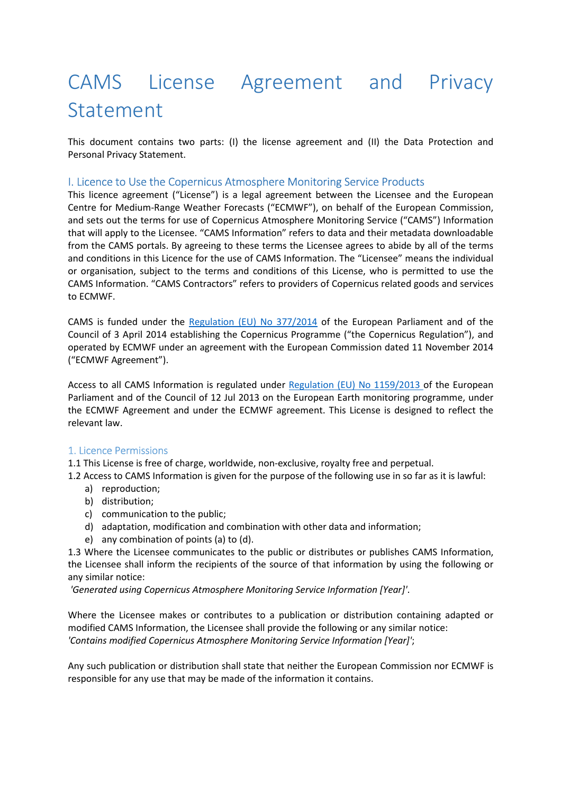# CAMS License Agreement and Privacy Statement

This document contains two parts: (I) the license agreement and (II) the Data Protection and Personal Privacy Statement.

## I. Licence to Use the Copernicus Atmosphere Monitoring Service Products

This licence agreement ("License") is a legal agreement between the Licensee and the European Centre for Medium-Range Weather Forecasts ("ECMWF"), on behalf of the European Commission, and sets out the terms for use of Copernicus Atmosphere Monitoring Service ("CAMS") Information that will apply to the Licensee. "CAMS Information" refers to data and their metadata downloadable from the CAMS portals. By agreeing to these terms the Licensee agrees to abide by all of the terms and conditions in this Licence for the use of CAMS Information. The "Licensee" means the individual or organisation, subject to the terms and conditions of this License, who is permitted to use the CAMS Information. "CAMS Contractors" refers to providers of Copernicus related goods and services to ECMWF.

CAMS is funded under the Regulation (EU) No 377/2014 of the European Parliament and of the Council of 3 April 2014 establishing the Copernicus Programme ("the Copernicus Regulation"), and operated by ECMWF under an agreement with the European Commission dated 11 November 2014 ("ECMWF Agreement").

Access to all CAMS Information is regulated under Regulation (EU) No 1159/2013 of the European Parliament and of the Council of 12 Jul 2013 on the European Earth monitoring programme, under the ECMWF Agreement and under the ECMWF agreement. This License is designed to reflect the relevant law.

#### 1. Licence Permissions

1.1 This License is free of charge, worldwide, non-exclusive, royalty free and perpetual.

1.2 Access to CAMS Information is given for the purpose of the following use in so far as it is lawful:

- a) reproduction;
- b) distribution;
- c) communication to the public;
- d) adaptation, modification and combination with other data and information;
- e) any combination of points (a) to (d).

1.3 Where the Licensee communicates to the public or distributes or publishes CAMS Information, the Licensee shall inform the recipients of the source of that information by using the following or any similar notice:

*'Generated using Copernicus Atmosphere Monitoring Service Information [Year]'*.

Where the Licensee makes or contributes to a publication or distribution containing adapted or modified CAMS Information, the Licensee shall provide the following or any similar notice: *'Contains modified Copernicus Atmosphere Monitoring Service Information [Year]'*;

Any such publication or distribution shall state that neither the European Commission nor ECMWF is responsible for any use that may be made of the information it contains.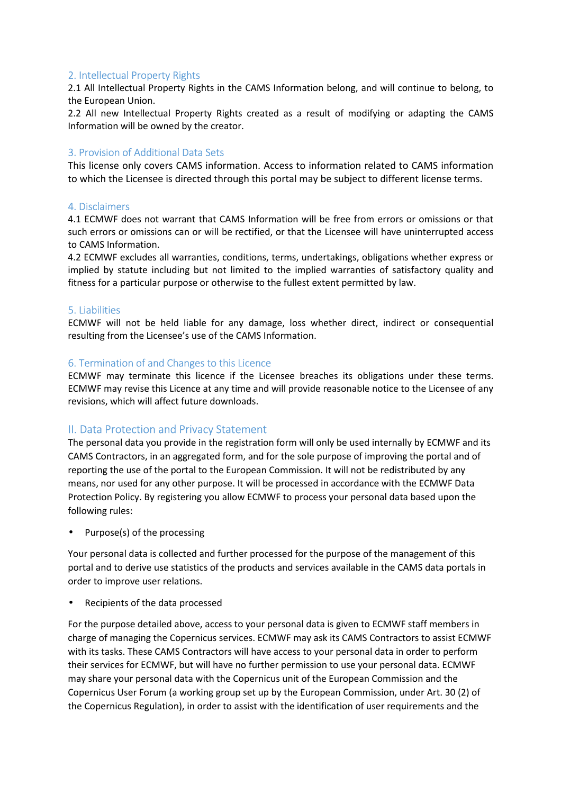## 2. Intellectual Property Rights

2.1 All Intellectual Property Rights in the CAMS Information belong, and will continue to belong, to the European Union.

2.2 All new Intellectual Property Rights created as a result of modifying or adapting the CAMS Information will be owned by the creator.

## 3. Provision of Additional Data Sets

This license only covers CAMS information. Access to information related to CAMS information to which the Licensee is directed through this portal may be subject to different license terms.

#### 4. Disclaimers

4.1 ECMWF does not warrant that CAMS Information will be free from errors or omissions or that such errors or omissions can or will be rectified, or that the Licensee will have uninterrupted access to CAMS Information.

4.2 ECMWF excludes all warranties, conditions, terms, undertakings, obligations whether express or implied by statute including but not limited to the implied warranties of satisfactory quality and fitness for a particular purpose or otherwise to the fullest extent permitted by law.

#### 5. Liabilities

ECMWF will not be held liable for any damage, loss whether direct, indirect or consequential resulting from the Licensee's use of the CAMS Information.

#### 6. Termination of and Changes to this Licence

ECMWF may terminate this licence if the Licensee breaches its obligations under these terms. ECMWF may revise this Licence at any time and will provide reasonable notice to the Licensee of any revisions, which will affect future downloads.

## II. Data Protection and Privacy Statement

The personal data you provide in the registration form will only be used internally by ECMWF and its CAMS Contractors, in an aggregated form, and for the sole purpose of improving the portal and of reporting the use of the portal to the European Commission. It will not be redistributed by any means, nor used for any other purpose. It will be processed in accordance with the ECMWF Data Protection Policy. By registering you allow ECMWF to process your personal data based upon the following rules:

Purpose(s) of the processing

Your personal data is collected and further processed for the purpose of the management of this portal and to derive use statistics of the products and services available in the CAMS data portals in order to improve user relations.

• Recipients of the data processed

For the purpose detailed above, access to your personal data is given to ECMWF staff members in charge of managing the Copernicus services. ECMWF may ask its CAMS Contractors to assist ECMWF with its tasks. These CAMS Contractors will have access to your personal data in order to perform their services for ECMWF, but will have no further permission to use your personal data. ECMWF may share your personal data with the Copernicus unit of the European Commission and the Copernicus User Forum (a working group set up by the European Commission, under Art. 30 (2) of the Copernicus Regulation), in order to assist with the identification of user requirements and the